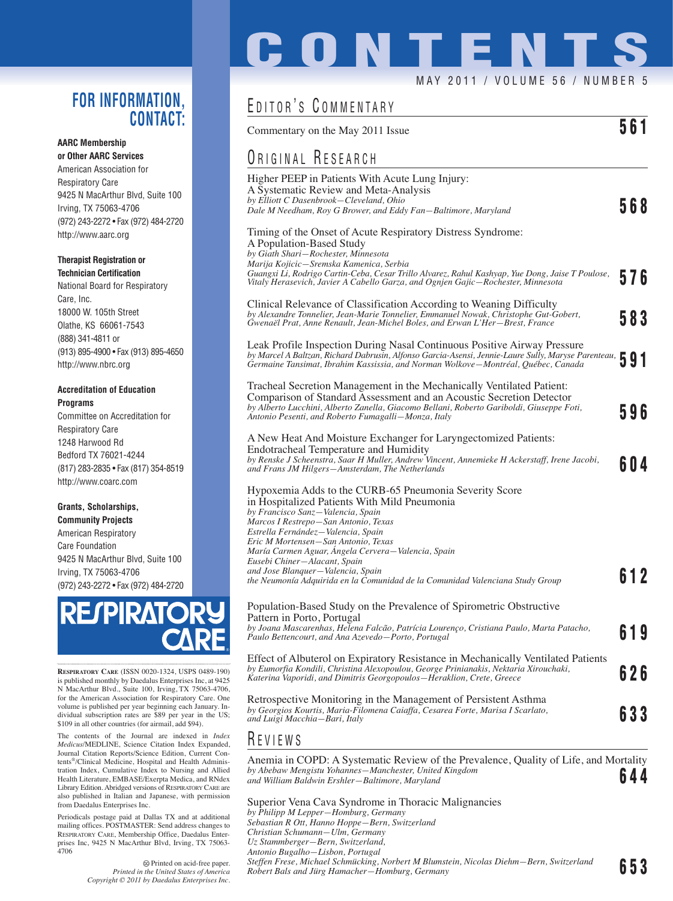### **FOR INFORMATION, CONTACT:**

### **AARC Membership**

**or Other AARC Services** American Association for Respiratory Care 9425 N MacArthur Blvd, Suite 100 Irving, TX 75063-4706 (972) 243-2272 • Fax (972) 484-2720 http://www.aarc.org

### **Therapist Registration or Technician Certification**

National Board for Respiratory Care, Inc. 18000 W. 105th Street Olathe, KS 66061-7543 (888) 341-4811 or (913) 895-4900 • Fax (913) 895-4650 http://www.nbrc.org

### **Accreditation of Education Programs**

Committee on Accreditation for Respiratory Care 1248 Harwood Rd Bedford TX 76021-4244 (817) 283-2835 • Fax (817) 354-8519 http://www.coarc.com

### **Grants, Scholarships, Community Projects**

American Respiratory Care Foundation 9425 N MacArthur Blvd, Suite 100 Irving, TX 75063-4706 (972) 243-2272 • Fax (972) 484-2720



**RESPIRATORY CARE** (ISSN 0020-1324, USPS 0489-190) is published monthly by Daedalus Enterprises Inc, at 9425 N MacArthur Blvd., Suite 100, Irving, TX 75063-4706, for the American Association for Respiratory Care. One volume is published per year beginning each January. Individual subscription rates are \$89 per year in the US; \$109 in all other countries (for airmail, add \$94).

The contents of the Journal are indexed in *Index Medicus*/MEDLINE, Science Citation Index Expanded, Journal Citation Reports/Science Edition, Current Contents®/Clinical Medicine, Hospital and Health Administration Index, Cumulative Index to Nursing and Allied Health Literature, EMBASE/Exerpta Medica, and RNdex Library Edition. Abridged versions of RESPIRATORY CARE are also published in Italian and Japanese, with permission from Daedalus Enterprises Inc.

Periodicals postage paid at Dallas TX and at additional mailing offices. POSTMASTER: Send address changes to RESPIRATORY CARE, Membership Office, Daedalus Enterprises Inc, 9425 N MacArthur Blvd, Irving, TX 75063- 4706

> Printed on acid-free paper. *Printed in the United States of America Copyright © 2011 by Daedalus Enterprises Inc.*

# **CONTENTS** MAY 2011 / VOLUME 56 / NUMBER 5

## EDITOR'S COMMENTARY

Commentary on the May 2011 Issue **561** 

## ORIGINAL RESEARCH

| Higher PEEP in Patients With Acute Lung Injury:                                                                                                                                          |     |
|------------------------------------------------------------------------------------------------------------------------------------------------------------------------------------------|-----|
| A Systematic Review and Meta-Analysis<br>by Elliott C Dasenbrook—Cleveland, Ohio                                                                                                         |     |
| Dale M Needham, Roy G Brower, and Eddy Fan-Baltimore, Maryland                                                                                                                           | 568 |
| Timing of the Onset of Acute Respiratory Distress Syndrome:                                                                                                                              |     |
| A Population-Based Study                                                                                                                                                                 |     |
| by Giath Shari–Rochester, Minnesota                                                                                                                                                      |     |
| Marija Kojicic—Sremska Kamenica, Serbia                                                                                                                                                  |     |
| Guangxi Li, Rodrigo Cartin-Ceba, Cesar Trillo Alvarez, Rahul Kashyap, Yue Dong, Jaise T Poulose,<br>Vitaly Herasevich, Javier A Cabello Garza, and Ognjen Gajic—Rochester, Minnesota     | 576 |
| Clinical Relevance of Classification According to Weaning Difficulty                                                                                                                     |     |
| by Alexandre Tonnelier, Jean-Marie Tonnelier, Emmanuel Nowak, Christophe Gut-Gobert,<br>Gwenaël Prat, Anne Renault, Jean-Michel Boles, and Erwan L'Her–Brest, France                     | 583 |
| Leak Profile Inspection During Nasal Continuous Positive Airway Pressure                                                                                                                 |     |
| by Marcel A Baltzan, Richard Dabrusin, Alfonso Garcia-Asensi, Jennie-Laure Sully, Maryse Parenteau,<br>Germaine Tansimat, Ibrahim Kassissia, and Norman Wolkove—Montréal, Québec, Canada |     |
| Tracheal Secretion Management in the Mechanically Ventilated Patient:                                                                                                                    |     |
| Comparison of Standard Assessment and an Acoustic Secretion Detector                                                                                                                     |     |
| by Alberto Lucchini, Alberto Zanella, Giacomo Bellani, Roberto Gariboldi, Giuseppe Foti,<br>Antonio Pesenti, and Roberto Fumagalli—Monza, Italy                                          | 596 |
| A New Heat And Moisture Exchanger for Laryngectomized Patients:                                                                                                                          |     |
| Endotracheal Temperature and Humidity                                                                                                                                                    |     |
| by Renske J Scheenstra, Saar H Muller, Andrew Vincent, Annemieke H Ackerstaff, Irene Jacobi,<br>and Frans JM Hilgers–Amsterdam, The Netherlands                                          | 604 |
| Hypoxemia Adds to the CURB-65 Pneumonia Severity Score                                                                                                                                   |     |
| in Hospitalized Patients With Mild Pneumonia                                                                                                                                             |     |
| by Francisco Sanz-Valencia, Spain                                                                                                                                                        |     |
| Marcos I Restrepo-San Antonio, Texas<br>Estrella Fernández - Valencia, Spain                                                                                                             |     |
| Eric M Mortensen-San Antonio, Texas                                                                                                                                                      |     |
| María Carmen Aguar, Angela Cervera-Valencia, Spain                                                                                                                                       |     |
| Eusebi Chiner-Alacant, Spain                                                                                                                                                             |     |
| and Jose Blanquer-Valencia, Spain                                                                                                                                                        | 612 |
| the Neumonía Adquirida en la Comunidad de la Comunidad Valenciana Study Group                                                                                                            |     |
| Population-Based Study on the Prevalence of Spirometric Obstructive<br>Pattern in Porto, Portugal                                                                                        |     |
| by Joana Mascarenhas, Helena Falcão, Patrícia Lourenço, Cristiana Paulo, Marta Patacho,                                                                                                  |     |
| Paulo Bettencourt, and Ana Azevedo-Porto, Portugal                                                                                                                                       | 619 |
| Effect of Albuterol on Expiratory Resistance in Mechanically Ventilated Patients                                                                                                         |     |
| by Eumorfia Kondili, Christina Alexopoulou, George Prinianakis, Nektaria Xirouchaki,<br>Katerina Vaporidi, and Dimitris Georgopoulos-Heraklion, Crete, Greece                            | 626 |

Retrospective Monitoring in the Management of Persistent Asthma *by Georgios Kourtis, Maria-Filomena Caiaffa, Cesarea Forte, Marisa I Scarlato, and Luigi Macchia—Bari, Italy* **633**

### R EVIEWS

Anemia in COPD: A Systematic Review of the Prevalence, Quality of Life, and Mortality *by Abebaw Mengistu Yohannes—Manchester, United Kingdom and William Baldwin Ershler—Baltimore, Maryland* **644**

Superior Vena Cava Syndrome in Thoracic Malignancies *by Philipp M Lepper—Homburg, Germany Sebastian R Ott, Hanno Hoppe—Bern, Switzerland Christian Schumann—Ulm, Germany Uz Stammberger—Bern, Switzerland, Antonio Bugalho—Lisbon, Portugal Steffen Frese, Michael Schmücking, Norbert M Blumstein, Nicolas Diehm—Bern, Switzerland Robert Bals and Jürg Hamacher—Homburg, Germany* **653**